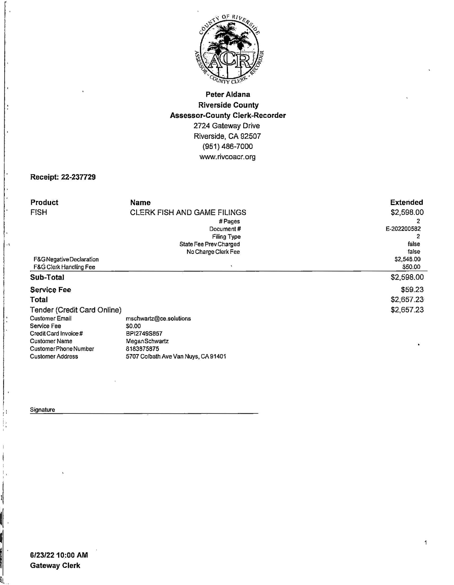

### **Peter Aldana Riverside County Assessor-County Clerk-Recorder**  2724 Gateway Drive Riverside, CA 92507 (951) 486-7000 *Www.* rivcoacr. org

#### **Receipt: 22-237729**

| Product                           | Name                                | <b>Extended</b> |
|-----------------------------------|-------------------------------------|-----------------|
| <b>FISH</b>                       | <b>CLERK FISH AND GAME FILINGS</b>  | \$2,598.00      |
|                                   |                                     |                 |
|                                   | #Pages                              |                 |
|                                   | Document#                           | E-202200582     |
|                                   | Filing Type                         |                 |
|                                   | State Fee Prev Charged              | false           |
|                                   | No Charge Clerk Fee                 | false           |
| F&G Negative Declaration          |                                     | \$2,548.00      |
| <b>F&amp;G Clerk Handling Fee</b> |                                     | \$50.00         |
| Sub-Total                         |                                     | \$2,598.00      |
| <b>Service Fee</b>                |                                     | \$59.23         |
| Total                             |                                     | \$2,657.23      |
| Tender (Credit Card Online)       |                                     | \$2,657.23      |
| <b>Customer Email</b>             | mschwartz@ce.solutions              |                 |
| Service Fee                       | \$0.00                              |                 |
| Credit Card Invoice #             | BPI2749S857                         |                 |
| <b>Customer Name</b>              | <b>MeganSchwartz</b>                |                 |
| Customer Phone Number             | 8183875875                          | $\bullet$       |
| <b>Customer Address</b>           | 5707 Colbath Ave Van Nuys, CA 91401 |                 |

#### **Signature**

I'

II!, .

 $\bar{\mathbf{x}}$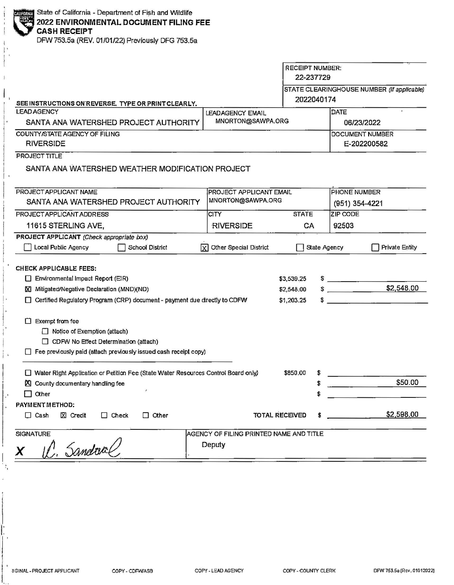$\vert \cdot \vert$  $\mathbf{I}$ !

**CASH RECEIPT** 

DFW753.5a (REV. 01/01/22) Previously DFG 753.5a

|                                                                                                                  |                                         | <b>RECEIPT NUMBER:</b><br>22-237729 |                 |                                            |  |
|------------------------------------------------------------------------------------------------------------------|-----------------------------------------|-------------------------------------|-----------------|--------------------------------------------|--|
| SEE INSTRUCTIONS ON REVERSE. TYPE OR PRINT CLEARLY.                                                              |                                         | 2022040174                          |                 | STATE CLEARINGHOUSE NUMBER (If applicable) |  |
| <b>LEAD AGENCY</b>                                                                                               | <b>LEADAGENCY EMAIL</b>                 |                                     | DATE            |                                            |  |
| SANTA ANA WATERSHED PROJECT AUTHORITY                                                                            | MNORTON@SAWPA.ORG                       | 06/23/2022                          |                 |                                            |  |
| COUNTY/STATE AGENCY OF FILING<br><b>RIVERSIDE</b>                                                                |                                         |                                     |                 | DOCUMENT NUMBER<br>E-202200582             |  |
| PROJECT TITLE<br>SANTA ANA WATERSHED WEATHER MODIFICATION PROJECT                                                |                                         |                                     |                 |                                            |  |
| PROJECT APPLICANT NAME                                                                                           |                                         | <b>PROJECT APPLICANT EMAIL</b>      |                 | <b>PHONE NUMBER</b>                        |  |
| SANTA ANA WATERSHED PROJECT AUTHORITY                                                                            | MNORTON@SAWPA.ORG                       |                                     | (951) 354-4221  |                                            |  |
| PROJECT APPLICANT ADDRESS                                                                                        | <b>CITY</b>                             | <b>STATE</b>                        | <b>ZIP CODE</b> |                                            |  |
| 11615 STERLING AVE,                                                                                              | <b>RIVERSIDE</b>                        | CA                                  | 92503           |                                            |  |
| PROJECT APPLICANT (Check appropriate box)<br>Local Public Agency<br>School District                              | $\sqrt{X}$ Other Special District       |                                     | State Agency    | <b>Private Entity</b>                      |  |
| <b>CHECK APPLICABLE FEES:</b>                                                                                    |                                         |                                     |                 |                                            |  |
| Environmental Impact Report (EIR)<br>X Mitigated/Negative Declaration (MND)(ND)                                  |                                         | \$3,539.25<br>\$2,548.00            | $\frac{1}{2}$   | \$2,548.00                                 |  |
| □ Certified Regulatory Program (CRP) document - payment due directly to CDFW                                     |                                         | \$1,203.25                          | $\mathbb{S}$    |                                            |  |
| $\Box$ Exempt from fee                                                                                           |                                         |                                     |                 |                                            |  |
| $\Box$ Notice of Exemption (attach)                                                                              |                                         |                                     |                 |                                            |  |
| CDFW No Effect Determination (attach)<br>$\Box$ Fee previously paid (attach previously issued cash receipt copy) |                                         |                                     |                 |                                            |  |
| Water Right Application or Petition Fee (State Water Resources Control Board only)                               |                                         | \$850.00<br>\$                      |                 |                                            |  |
| <b>X</b> County documentary handling fee                                                                         |                                         | \$                                  |                 | \$50.00                                    |  |
| Other                                                                                                            |                                         | \$                                  |                 |                                            |  |
| PAYMENT METHOD:<br>$\Box$ Cash<br>$X$ Credit<br>$\Box$ Other<br>$\Box$ Check                                     |                                         | TOTAL RECEIVED<br>\$                |                 | \$2,598.00                                 |  |
| <b>SIGNATURE</b>                                                                                                 | AGENCY OF FILING PRINTED NAME AND TITLE |                                     |                 |                                            |  |
| V. Sandaal                                                                                                       | Deputy                                  |                                     |                 |                                            |  |
|                                                                                                                  |                                         |                                     |                 |                                            |  |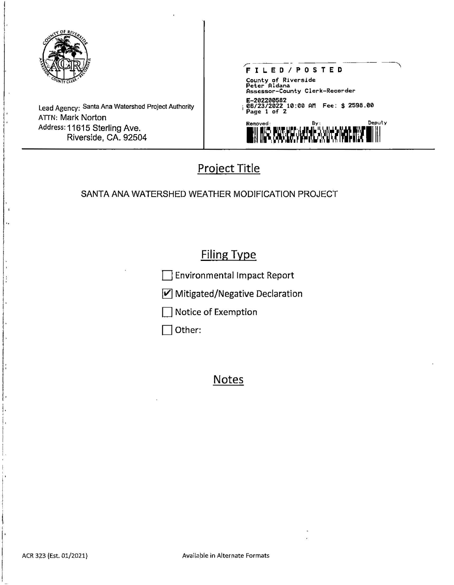

Lead Agency: Santa Ana Watershed Project Authority ATTN: Mark Norton Address: 11615 Sterling Ave. Riverside, CA. 92504



# Project Title

### SANTA ANA WATERSHED WEATHER MODIFICATION PROJECT

## Filing Type

Environmental Impact Report

 $V$  Mitigated/Negative Declaration

Notice of Exemption

Other:

## Notes

' l' I !<br>!<br>! I